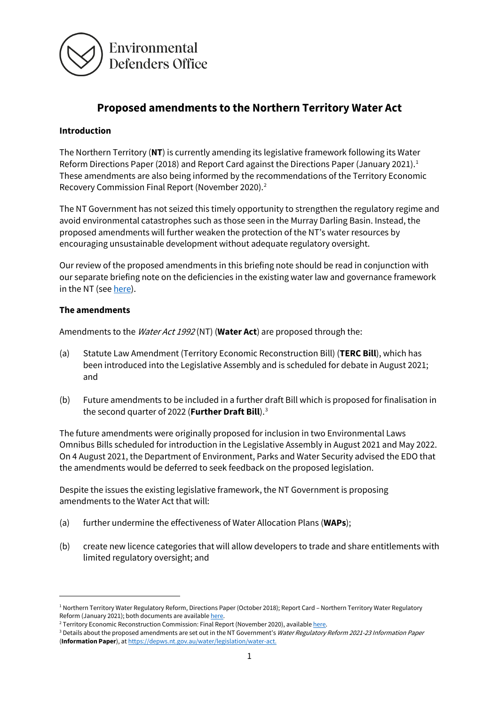

# **Proposed amendments to the Northern Territory Water Act**

#### **Introduction**

The Northern Territory (**NT**) is currently amending its legislative framework following its Water Reform Directions Paper (20[1](#page-0-0)8) and Report Card against the Directions Paper (January 2021).<sup>1</sup> These amendments are also being informed by the recommendations of the Territory Economic Recovery Commission Final Report (November 2020).[2](#page-0-1)

The NT Government has not seized this timely opportunity to strengthen the regulatory regime and avoid environmental catastrophes such as those seen in the Murray Darling Basin. Instead, the proposed amendments will further weaken the protection of the NT's water resources by encouraging unsustainable development without adequate regulatory oversight.

Our review of the proposed amendments in this briefing note should be read in conjunction with our separate briefing note on the deficiencies in the existing water law and governance framework in the NT (se[e here\)](https://www.edo.org.au/publication/briefing-note-deficiencies-in-the-existing-water-law-and-governance-framework-in-the-northern-territory/).

#### **The amendments**

Amendments to the Water Act 1992 (NT) (**Water Act**) are proposed through the:

- (a) Statute Law Amendment (Territory Economic Reconstruction Bill) (**TERC Bill**), which has been introduced into the Legislative Assembly and is scheduled for debate in August 2021; and
- (b) Future amendments to be included in a further draft Bill which is proposed for finalisation in the second quarter of 2022 (**Further Draft Bill**).[3](#page-0-2)

The future amendments were originally proposed for inclusion in two Environmental Laws Omnibus Bills scheduled for introduction in the Legislative Assembly in August 2021 and May 2022. On 4 August 2021, the Department of Environment, Parks and Water Security advised the EDO that the amendments would be deferred to seek feedback on the proposed legislation.

Despite the issues the existing legislative framework, the NT Government is proposing amendments to the Water Act that will:

- (a) further undermine the effectiveness of Water Allocation Plans (**WAPs**);
- (b) create new licence categories that will allow developers to trade and share entitlements with limited regulatory oversight; and

<span id="page-0-0"></span><sup>&</sup>lt;sup>1</sup> Northern Territory Water Regulatory Reform, Directions Paper (October 2018); Report Card - Northern Territory Water Regulatory Reform (January 2021); both documents are available <u>here</u>.<br><sup>2</sup> Territory Economic Reconstruction Commission: Final Report (November 2020), available <u>here</u>.<br><sup>3</sup> Details about the proposed amendments are set out in the NT

<span id="page-0-1"></span>

<span id="page-0-2"></span><sup>(</sup>**Information Paper**), a[t https://depws.nt.gov.au/water/legislation/water-act.](https://depws.nt.gov.au/water/legislation/water-act.%20On%205%20August%202021)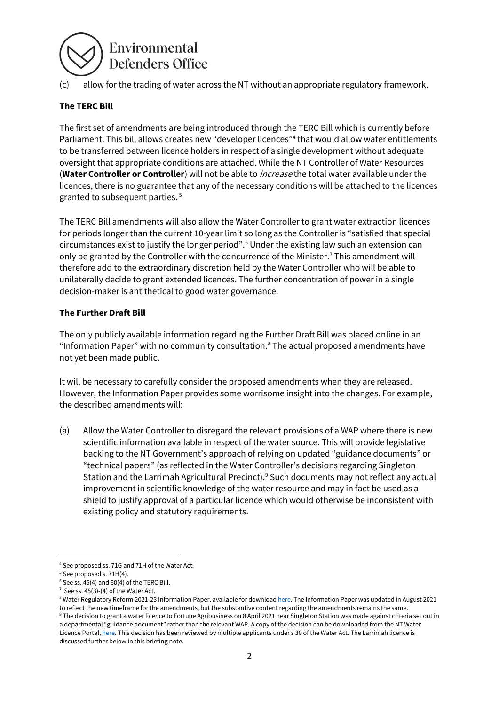# Environmental **Defenders Office**

(c) allow for the trading of water across the NT without an appropriate regulatory framework.

# **The TERC Bill**

The first set of amendments are being introduced through the TERC Bill which is currently before Parliament. This bill allows creates new "developer licences"[4](#page-1-0) that would allow water entitlements to be transferred between licence holders in respect of a single development without adequate oversight that appropriate conditions are attached. While the NT Controller of Water Resources (**Water Controller or Controller**) will not be able to increase the total water available under the licences, there is no guarantee that any of the necessary conditions will be attached to the licences granted to subsequent parties. [5](#page-1-1)

The TERC Bill amendments will also allow the Water Controller to grant water extraction licences for periods longer than the current 10-year limit so long as the Controller is "satisfied that special circumstances exist to justify the longer period".[6](#page-1-2) Under the existing law such an extension can only be granted by the Controller with the concurrence of the Minister.<sup>7</sup> This amendment will therefore add to the extraordinary discretion held by the Water Controller who will be able to unilaterally decide to grant extended licences. The further concentration of power in a single decision-maker is antithetical to good water governance.

## **The Further Draft Bill**

The only publicly available information regarding the Further Draft Bill was placed online in an "Information Paper" with no community consultation.[8](#page-1-4) The actual proposed amendments have not yet been made public.

It will be necessary to carefully consider the proposed amendments when they are released. However, the Information Paper provides some worrisome insight into the changes. For example, the described amendments will:

(a) Allow the Water Controller to disregard the relevant provisions of a WAP where there is new scientific information available in respect of the water source. This will provide legislative backing to the NT Government's approach of relying on updated "guidance documents" or "technical papers" (as reflected in the Water Controller's decisions regarding Singleton Station and the Larrimah Agricultural Precinct). [9](#page-1-5) Such documents may not reflect any actual improvement in scientific knowledge of the water resource and may in fact be used as a shield to justify approval of a particular licence which would otherwise be inconsistent with existing policy and statutory requirements.

<span id="page-1-0"></span><sup>4</sup> See proposed ss. 71G and 71H of the Water Act.

<span id="page-1-2"></span><span id="page-1-1"></span><sup>&</sup>lt;sup>5</sup> See proposed s. 71H(4).<br><sup>6</sup> See ss. 45(4) and 60(4) of the TERC Bill.

 $7$  See ss. 45(3)-(4) of the Water Act.

<span id="page-1-4"></span><span id="page-1-3"></span><sup>&</sup>lt;sup>8</sup> Water Regulatory Reform 2021-23 Information Paper, available for downloa[d here.](https://depws.nt.gov.au/water/legislation/water-act) The Information Paper was updated in August 2021 to reflect the new timeframe for the amendments, but the substantive content regarding the amendments remains the same.

<span id="page-1-5"></span><sup>9</sup> The decision to grant a water licence to Fortune Agribusiness on 8 April 2021 near Singleton Station was made against criteria set out in a departmental "guidance document" rather than the relevant WAP. A copy of the decision can be downloaded from the NT Water Licence Portal[, here.](https://ntg.maps.arcgis.com/apps/dashboards/0ec71b3d7e774e64b434034211708514) This decision has been reviewed by multiple applicants under s 30 of the Water Act. The Larrimah licence is discussed further below in this briefing note.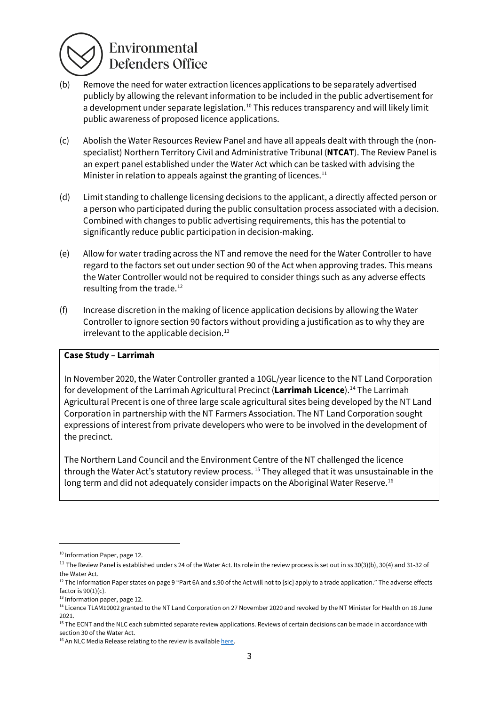

# Environmental **Defenders Office**

- (b) Remove the need for water extraction licences applications to be separately advertised publicly by allowing the relevant information to be included in the public advertisement for a development under separate legislation.<sup>[10](#page-2-0)</sup> This reduces transparency and will likely limit public awareness of proposed licence applications.
- (c) Abolish the Water Resources Review Panel and have all appeals dealt with through the (nonspecialist) Northern Territory Civil and Administrative Tribunal (**NTCAT**). The Review Panel is an expert panel established under the Water Act which can be tasked with advising the Minister in relation to appeals against the granting of licences. $11$
- (d) Limit standing to challenge licensing decisions to the applicant, a directly affected person or a person who participated during the public consultation process associated with a decision. Combined with changes to public advertising requirements, this has the potential to significantly reduce public participation in decision-making.
- (e) Allow for water trading across the NT and remove the need for the Water Controller to have regard to the factors set out under section 90 of the Act when approving trades. This means the Water Controller would not be required to consider things such as any adverse effects resulting from the trade.<sup>[12](#page-2-2)</sup>
- (f) Increase discretion in the making of licence application decisions by allowing the Water Controller to ignore section 90 factors without providing a justification as to why they are irrelevant to the applicable decision.<sup>[13](#page-2-3)</sup>

#### **Case Study – Larrimah**

In November 2020, the Water Controller granted a 10GL/year licence to the NT Land Corporation for development of the Larrimah Agricultural Precinct (**Larrimah Licence**).[14](#page-2-4) The Larrimah Agricultural Precent is one of three large scale agricultural sites being developed by the NT Land Corporation in partnership with the NT Farmers Association. The NT Land Corporation sought expressions of interest from private developers who were to be involved in the development of the precinct.

The Northern Land Council and the Environment Centre of the NT challenged the licence through the Water Act's statutory review process. [15](#page-2-5) They alleged that it was unsustainable in the long term and did not adequately consider impacts on the Aboriginal Water Reserve.<sup>[16](#page-2-6)</sup>

<span id="page-2-0"></span><sup>&</sup>lt;sup>10</sup> Information Paper, page 12.

<span id="page-2-1"></span> $11$  The Review Panel is established under s 24 of the Water Act. Its role in the review process is set out in ss 30(3)(b), 30(4) and 31-32 of the Water Act.

<span id="page-2-2"></span><sup>&</sup>lt;sup>12</sup> The Information Paper states on page 9 "Part 6A and s.90 of the Act will not to [sic] apply to a trade application." The adverse effects factor is 90(1)(c).

<span id="page-2-3"></span><sup>&</sup>lt;sup>13</sup> Information paper, page 12.

<span id="page-2-4"></span><sup>&</sup>lt;sup>14</sup> Licence TLAM10002 granted to the NT Land Corporation on 27 November 2020 and revoked by the NT Minister for Health on 18 June 2021.

<span id="page-2-5"></span><sup>&</sup>lt;sup>15</sup> The ECNT and the NLC each submitted separate review applications. Reviews of certain decisions can be made in accordance with section 30 of the Water Act.

<span id="page-2-6"></span> $16$  An NLC Media Release relating to the review is availabl[e here.](https://www.nlc.org.au/media-publications/nlc-challenge-overturns-unsustainable-water-licence-decision)